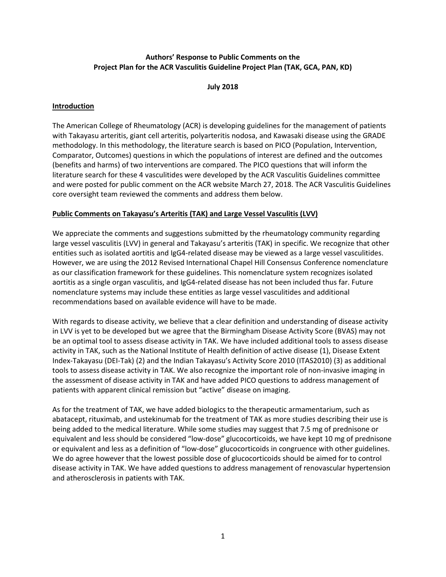# **Authors' Response to Public Comments on the Project Plan for the ACR Vasculitis Guideline Project Plan (TAK, GCA, PAN, KD)**

### **July 2018**

## **Introduction**

The American College of Rheumatology (ACR) is developing guidelines for the management of patients with Takayasu arteritis, giant cell arteritis, polyarteritis nodosa, and Kawasaki disease using the GRADE methodology. In this methodology, the literature search is based on PICO (Population, Intervention, Comparator, Outcomes) questions in which the populations of interest are defined and the outcomes (benefits and harms) of two interventions are compared. The PICO questions that will inform the literature search for these 4 vasculitides were developed by the ACR Vasculitis Guidelines committee and were posted for public comment on the ACR website March 27, 2018. The ACR Vasculitis Guidelines core oversight team reviewed the comments and address them below.

### **Public Comments on Takayasu's Arteritis (TAK) and Large Vessel Vasculitis (LVV)**

We appreciate the comments and suggestions submitted by the rheumatology community regarding large vessel vasculitis (LVV) in general and Takayasu's arteritis (TAK) in specific. We recognize that other entities such as isolated aortitis and IgG4-related disease may be viewed as a large vessel vasculitides. However, we are using the 2012 Revised International Chapel Hill Consensus Conference nomenclature as our classification framework for these guidelines. This nomenclature system recognizes isolated aortitis as a single organ vasculitis, and IgG4-related disease has not been included thus far. Future nomenclature systems may include these entities as large vessel vasculitides and additional recommendations based on available evidence will have to be made.

With regards to disease activity, we believe that a clear definition and understanding of disease activity in LVV is yet to be developed but we agree that the Birmingham Disease Activity Score (BVAS) may not be an optimal tool to assess disease activity in TAK. We have included additional tools to assess disease activity in TAK, such as the National Institute of Health definition of active disease (1), Disease Extent Index-Takayasu (DEI-Tak) (2) and the Indian Takayasu's Activity Score 2010 (ITAS2010) (3) as additional tools to assess disease activity in TAK. We also recognize the important role of non-invasive imaging in the assessment of disease activity in TAK and have added PICO questions to address management of patients with apparent clinical remission but "active" disease on imaging.

As for the treatment of TAK, we have added biologics to the therapeutic armamentarium, such as abatacept, rituximab, and ustekinumab for the treatment of TAK as more studies describing their use is being added to the medical literature. While some studies may suggest that 7.5 mg of prednisone or equivalent and less should be considered "low-dose" glucocorticoids, we have kept 10 mg of prednisone or equivalent and less as a definition of "low-dose" glucocorticoids in congruence with other guidelines. We do agree however that the lowest possible dose of glucocorticoids should be aimed for to control disease activity in TAK. We have added questions to address management of renovascular hypertension and atherosclerosis in patients with TAK.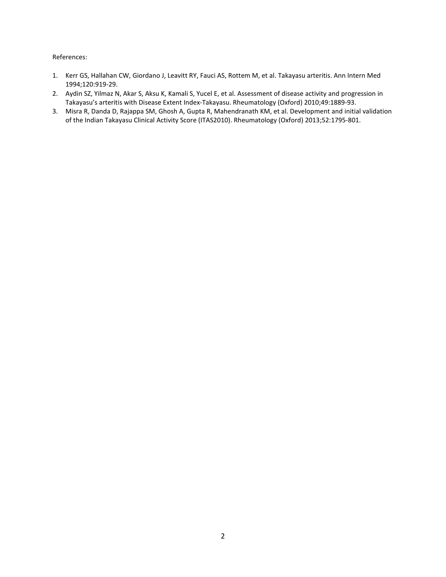- 1. Kerr GS, Hallahan CW, Giordano J, Leavitt RY, Fauci AS, Rottem M, et al. Takayasu arteritis. Ann Intern Med 1994;120:919-29.
- 2. Aydin SZ, Yilmaz N, Akar S, Aksu K, Kamali S, Yucel E, et al. Assessment of disease activity and progression in Takayasu's arteritis with Disease Extent Index-Takayasu. Rheumatology (Oxford) 2010;49:1889-93.
- 3. Misra R, Danda D, Rajappa SM, Ghosh A, Gupta R, Mahendranath KM, et al. Development and initial validation of the Indian Takayasu Clinical Activity Score (ITAS2010). Rheumatology (Oxford) 2013;52:1795-801.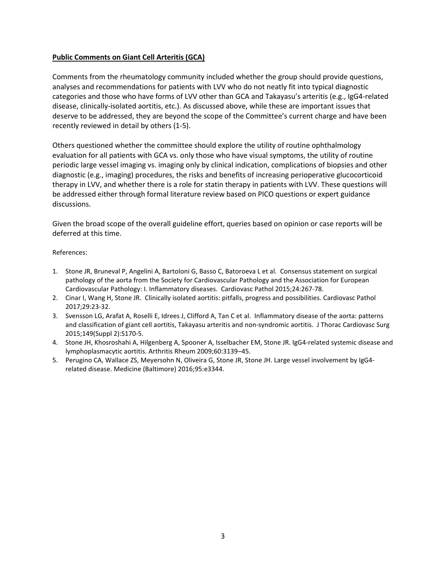## **Public Comments on Giant Cell Arteritis (GCA)**

Comments from the rheumatology community included whether the group should provide questions, analyses and recommendations for patients with LVV who do not neatly fit into typical diagnostic categories and those who have forms of LVV other than GCA and Takayasu's arteritis (e.g., IgG4-related disease, clinically-isolated aortitis, etc.). As discussed above, while these are important issues that deserve to be addressed, they are beyond the scope of the Committee's current charge and have been recently reviewed in detail by others (1-5).

Others questioned whether the committee should explore the utility of routine ophthalmology evaluation for all patients with GCA vs. only those who have visual symptoms, the utility of routine periodic large vessel imaging vs. imaging only by clinical indication, complications of biopsies and other diagnostic (e.g., imaging) procedures, the risks and benefits of increasing perioperative glucocorticoid therapy in LVV, and whether there is a role for statin therapy in patients with LVV. These questions will be addressed either through formal literature review based on PICO questions or expert guidance discussions.

Given the broad scope of the overall guideline effort, queries based on opinion or case reports will be deferred at this time.

- 1. Stone JR, Bruneval P, Angelini A, Bartoloni G, Basso C, Batoroeva L et al. Consensus statement on surgical pathology of the aorta from the Society for Cardiovascular Pathology and the Association for European Cardiovascular Pathology: I. Inflammatory diseases. Cardiovasc Pathol 2015;24:267-78.
- 2. Cinar I, Wang H, Stone JR. Clinically isolated aortitis: pitfalls, progress and possibilities. Cardiovasc Pathol 2017;29:23-32.
- 3. Svensson LG, Arafat A, Roselli E, Idrees J, Clifford A, Tan C et al. Inflammatory disease of the aorta: patterns and classification of giant cell aortitis, Takayasu arteritis and non-syndromic aortitis. J Thorac Cardiovasc Surg 2015;149(Suppl 2):S170-5.
- 4. Stone JH, Khosroshahi A, Hilgenberg A, Spooner A, Isselbacher EM, Stone JR. IgG4-related systemic disease and lymphoplasmacytic aortitis. Arthritis Rheum 2009;60:3139–45.
- 5. Perugino CA, Wallace ZS, Meyersohn N, Oliveira G, Stone JR, Stone JH. Large vessel involvement by IgG4 related disease. Medicine (Baltimore) 2016;95:e3344.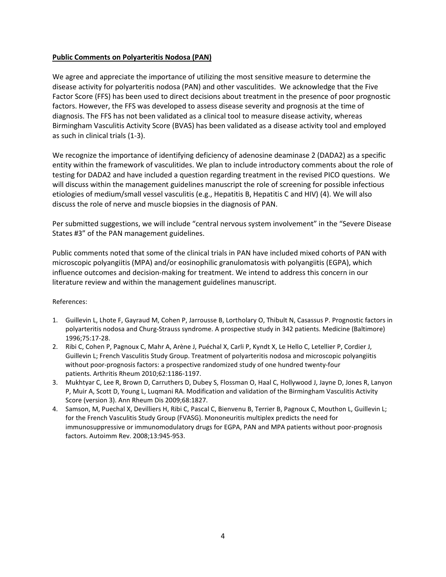## **Public Comments on Polyarteritis Nodosa (PAN)**

We agree and appreciate the importance of utilizing the most sensitive measure to determine the disease activity for polyarteritis nodosa (PAN) and other vasculitides. We acknowledge that the Five Factor Score (FFS) has been used to direct decisions about treatment in the presence of poor prognostic factors. However, the FFS was developed to assess disease severity and prognosis at the time of diagnosis. The FFS has not been validated as a clinical tool to measure disease activity, whereas Birmingham Vasculitis Activity Score (BVAS) has been validated as a disease activity tool and employed as such in clinical trials (1-3).

We recognize the importance of identifying deficiency of adenosine deaminase 2 (DADA2) as a specific entity within the framework of vasculitides. We plan to include introductory comments about the role of testing for DADA2 and have included a question regarding treatment in the revised PICO questions. We will discuss within the management guidelines manuscript the role of screening for possible infectious etiologies of medium/small vessel vasculitis (e.g., Hepatitis B, Hepatitis C and HIV) (4). We will also discuss the role of nerve and muscle biopsies in the diagnosis of PAN.

Per submitted suggestions, we will include "central nervous system involvement" in the "Severe Disease States #3" of the PAN management guidelines.

Public comments noted that some of the clinical trials in PAN have included mixed cohorts of PAN with microscopic polyangiitis (MPA) and/or eosinophilic granulomatosis with polyangiitis (EGPA), which influence outcomes and decision-making for treatment. We intend to address this concern in our literature review and within the management guidelines manuscript.

- 1. Guillevin L, Lhote F, Gayraud M, Cohen P, Jarrousse B, Lortholary O, Thibult N, Casassus P. Prognostic factors in polyarteritis nodosa and Churg-Strauss syndrome. A prospective study in 342 patients. Medicine (Baltimore) 1996;75:17-28.
- 2. Ribi C, Cohen P, Pagnoux C, Mahr A, Arène J, Puéchal X, Carli P, Kyndt X, Le Hello C, Letellier P, Cordier J, Guillevin L; French Vasculitis Study Group. Treatment of polyarteritis nodosa and microscopic polyangiitis without poor-prognosis factors: a prospective randomized study of one hundred twenty-four patients. Arthritis Rheum 2010;62:1186-1197.
- 3. Mukhtyar C, Lee R, Brown D, Carruthers D, Dubey S, Flossman O, Haal C, Hollywood J, Jayne D, Jones R, Lanyon P, Muir A, Scott D, Young L, Luqmani RA. Modification and validation of the Birmingham Vasculitis Activity Score (version 3). Ann Rheum Dis 2009;68:1827.
- 4. Samson, M, Puechal X, Devilliers H, Ribi C, Pascal C, Bienvenu B, Terrier B, Pagnoux C, Mouthon L, Guillevin L; for the French Vasculitis Study Group (FVASG). Mononeuritis multiplex predicts the need for immunosuppressive or immunomodulatory drugs for EGPA, PAN and MPA patients without poor-prognosis factors. Autoimm Rev. 2008;13:945-953.